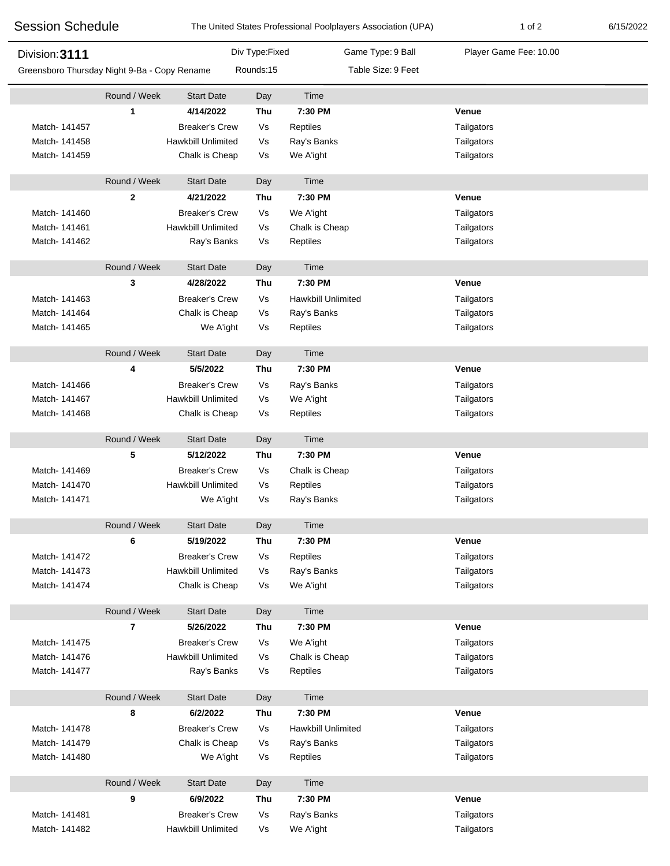| <b>Session Schedule</b><br>Division: 3111    |                |                           |                | The United States Professional Poolplayers Association (UPA) | 1 of 2                 | 6/15/2022 |
|----------------------------------------------|----------------|---------------------------|----------------|--------------------------------------------------------------|------------------------|-----------|
|                                              |                |                           | Div Type:Fixed | Game Type: 9 Ball                                            | Player Game Fee: 10.00 |           |
| Greensboro Thursday Night 9-Ba - Copy Rename |                |                           | Rounds:15      | Table Size: 9 Feet                                           |                        |           |
|                                              | Round / Week   | <b>Start Date</b>         | Day            | Time                                                         |                        |           |
|                                              | 1              | 4/14/2022                 | Thu            | 7:30 PM                                                      | Venue                  |           |
| Match-141457                                 |                | <b>Breaker's Crew</b>     | Vs             | Reptiles                                                     | Tailgators             |           |
| Match-141458                                 |                | <b>Hawkbill Unlimited</b> | Vs             | Ray's Banks                                                  | Tailgators             |           |
| Match- 141459                                |                | Chalk is Cheap            | Vs             | We A'ight                                                    | Tailgators             |           |
|                                              | Round / Week   | <b>Start Date</b>         | Day            | Time                                                         |                        |           |
|                                              | $\mathbf{2}$   | 4/21/2022                 | Thu            | 7:30 PM                                                      | Venue                  |           |
| Match- 141460                                |                | <b>Breaker's Crew</b>     | Vs             | We A'ight                                                    | Tailgators             |           |
| Match-141461                                 |                | <b>Hawkbill Unlimited</b> | Vs             | Chalk is Cheap                                               | Tailgators             |           |
| Match-141462                                 |                | Ray's Banks               | Vs             | Reptiles                                                     | Tailgators             |           |
|                                              | Round / Week   | <b>Start Date</b>         | Day            | Time                                                         |                        |           |
|                                              | 3              | 4/28/2022                 | Thu            | 7:30 PM                                                      | Venue                  |           |
| Match- 141463                                |                | <b>Breaker's Crew</b>     | Vs             | Hawkbill Unlimited                                           | Tailgators             |           |
| Match- 141464                                |                | Chalk is Cheap            | Vs             | Ray's Banks                                                  | Tailgators             |           |
| Match- 141465                                |                | We A'ight                 | Vs             | Reptiles                                                     | Tailgators             |           |
|                                              | Round / Week   | <b>Start Date</b>         | Day            | Time                                                         |                        |           |
|                                              | 4              | 5/5/2022                  | Thu            | 7:30 PM                                                      | Venue                  |           |
| Match-141466                                 |                | <b>Breaker's Crew</b>     | Vs             | Ray's Banks                                                  | Tailgators             |           |
| Match-141467                                 |                | <b>Hawkbill Unlimited</b> | Vs             | We A'ight                                                    | Tailgators             |           |
| Match-141468                                 |                | Chalk is Cheap            | Vs             | Reptiles                                                     | Tailgators             |           |
|                                              | Round / Week   | <b>Start Date</b>         | Day            | Time                                                         |                        |           |
|                                              | 5              | 5/12/2022                 | Thu            | 7:30 PM                                                      | Venue                  |           |
| Match- 141469                                |                | <b>Breaker's Crew</b>     | Vs             | Chalk is Cheap                                               | Tailgators             |           |
| Match-141470                                 |                | <b>Hawkbill Unlimited</b> | Vs             | Reptiles                                                     | Tailgators             |           |
| Match- 141471                                |                | We A'ight                 | Vs             | Ray's Banks                                                  | Tailgators             |           |
|                                              | Round / Week   | <b>Start Date</b>         | Day            | Time                                                         |                        |           |
|                                              | 6              | 5/19/2022                 | Thu            | 7:30 PM                                                      | Venue                  |           |
| Match-141472                                 |                | <b>Breaker's Crew</b>     | Vs             | Reptiles                                                     | Tailgators             |           |
| Match-141473                                 |                | <b>Hawkbill Unlimited</b> | Vs             | Ray's Banks                                                  | Tailgators             |           |
| Match-141474                                 |                | Chalk is Cheap            | Vs             | We A'ight                                                    | Tailgators             |           |
|                                              | Round / Week   | <b>Start Date</b>         | Day            | Time                                                         |                        |           |
|                                              | $\overline{7}$ | 5/26/2022                 | Thu            | 7:30 PM                                                      | Venue                  |           |
| Match-141475                                 |                | <b>Breaker's Crew</b>     | Vs             | We A'ight                                                    | Tailgators             |           |
| Match-141476                                 |                | Hawkbill Unlimited        | Vs             | Chalk is Cheap                                               | Tailgators             |           |
| Match-141477                                 |                | Ray's Banks               | Vs             | Reptiles                                                     | Tailgators             |           |
|                                              | Round / Week   | <b>Start Date</b>         | Day            | Time                                                         |                        |           |
|                                              | 8              | 6/2/2022                  | Thu            | 7:30 PM                                                      | Venue                  |           |
| Match-141478                                 |                | <b>Breaker's Crew</b>     | Vs             | <b>Hawkbill Unlimited</b>                                    | Tailgators             |           |
| Match- 141479                                |                | Chalk is Cheap            | Vs             | Ray's Banks                                                  | Tailgators             |           |
| Match- 141480                                |                | We A'ight                 | Vs             | Reptiles                                                     | Tailgators             |           |
|                                              | Round / Week   | <b>Start Date</b>         | Day            | Time                                                         |                        |           |
|                                              | 9              | 6/9/2022                  | Thu            | 7:30 PM                                                      | Venue                  |           |
| Match-141481                                 |                | <b>Breaker's Crew</b>     | Vs             | Ray's Banks                                                  | Tailgators             |           |
| Match-141482                                 |                | Hawkbill Unlimited        | Vs             | We A'ight                                                    | Tailgators             |           |